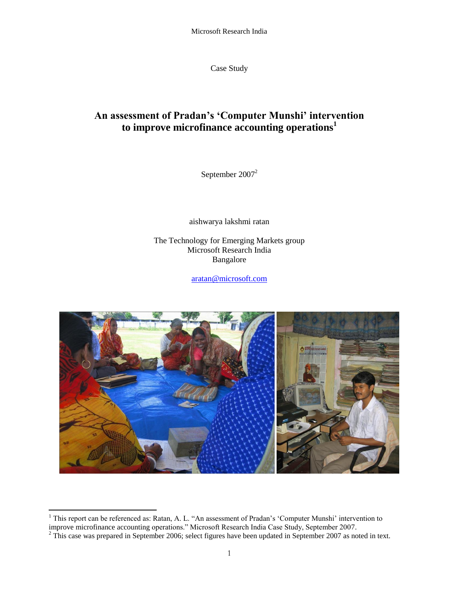Microsoft Research India

Case Study

# **An assessment of Pradan's 'Computer Munshi' intervention to improve microfinance accounting operations<sup>1</sup>**

September 2007<sup>2</sup>

aishwarya lakshmi ratan

The Technology for Emerging Markets group Microsoft Research India Bangalore

[aratan@microsoft.com](mailto:aratan@microsoft.com)



 $\overline{a}$ <sup>1</sup> This report can be referenced as: Ratan, A. L. "An assessment of Pradan's 'Computer Munshi' intervention to improve microfinance accounting operations." Microsoft Research India Case Study, September 2007.

 $2$  This case was prepared in September 2006; select figures have been updated in September 2007 as noted in text.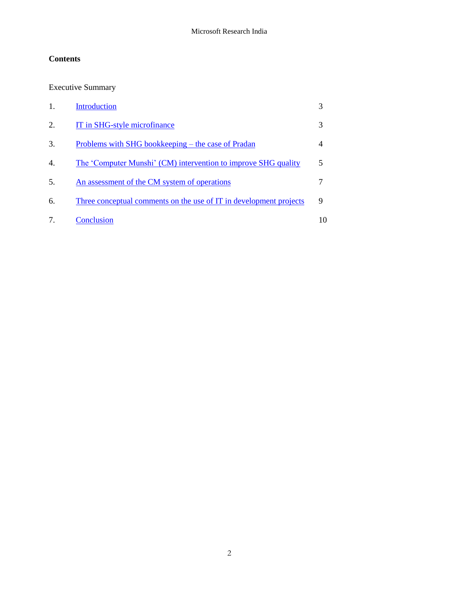# **Contents**

Executive Summary

|                  | <b>Introduction</b>                                                       |   |
|------------------|---------------------------------------------------------------------------|---|
| $\overline{2}$ . | IT in SHG-style microfinance                                              | 3 |
| 3.               | Problems with SHG bookkeeping – the case of Pradan                        |   |
| 4.               | The 'Computer Munshi' (CM) intervention to improve SHG quality            | 5 |
| 5.               | An assessment of the CM system of operations                              |   |
| 6.               | <u>Three conceptual comments on the use of IT in development projects</u> | Q |
|                  | Conclusion                                                                |   |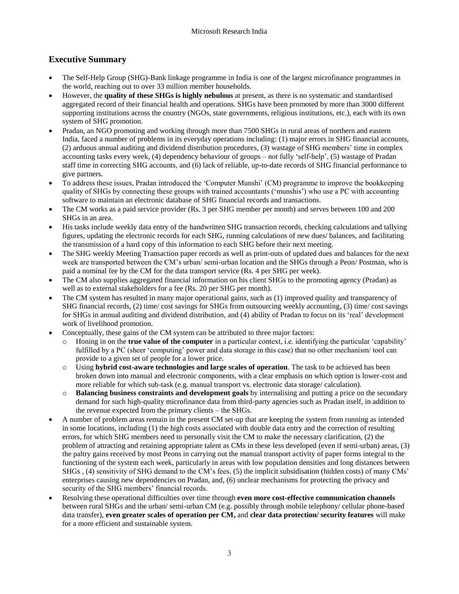# **Executive Summary**

- The Self-Help Group (SHG)-Bank linkage programme in India is one of the largest microfinance programmes in the world, reaching out to over 33 million member households.
- However, the **quality of these SHGs is highly nebulous** at present, as there is no systematic and standardised aggregated record of their financial health and operations. SHGs have been promoted by more than 3000 different supporting institutions across the country (NGOs, state governments, religious institutions, etc.), each with its own system of SHG promotion.
- Pradan, an NGO promoting and working through more than 7500 SHGs in rural areas of northern and eastern India, faced a number of problems in its everyday operations including: (1) major errors in SHG financial accounts, (2) arduous annual auditing and dividend distribution procedures, (3) wastage of SHG members" time in complex accounting tasks every week, (4) dependency behaviour of groups – not fully "self-help", (5) wastage of Pradan staff time in correcting SHG accounts, and (6) lack of reliable, up-to-date records of SHG financial performance to give partners.
- To address these issues, Pradan introduced the "Computer Munshi" (CM) programme to improve the bookkeeping quality of SHGs by connecting these groups with trained accountants ("munshis") who use a PC with accounting software to maintain an electronic database of SHG financial records and transactions.
- The CM works as a paid service provider (Rs. 3 per SHG member per month) and serves between 100 and 200 SHGs in an area.
- His tasks include weekly data entry of the handwritten SHG transaction records, checking calculations and tallying figures, updating the electronic records for each SHG, running calculations of new dues/ balances, and facilitating the transmission of a hard copy of this information to each SHG before their next meeting.
- The SHG weekly Meeting Transaction paper records as well as print-outs of updated dues and balances for the next week are transported between the CM"s urban/ semi-urban location and the SHGs through a Peon/ Postman, who is paid a nominal fee by the CM for the data transport service (Rs. 4 per SHG per week).
- The CM also supplies aggregated financial information on his client SHGs to the promoting agency (Pradan) as well as to external stakeholders for a fee (Rs. 20 per SHG per month).
- The CM system has resulted in many major operational gains, such as (1) improved quality and transparency of SHG financial records, (2) time/ cost savings for SHGs from outsourcing weekly accounting, (3) time/ cost savings for SHGs in annual auditing and dividend distribution, and (4) ability of Pradan to focus on its "real" development work of livelihood promotion.
- Conceptually, these gains of the CM system can be attributed to three major factors:
	- o Honing in on the **true value of the computer** in a particular context, i.e. identifying the particular "capability" fulfilled by a PC (sheer 'computing' power and data storage in this case) that no other mechanism/ tool can provide to a given set of people for a lower price.
	- o Using **hybrid cost-aware technologies and large scales of operation**. The task to be achieved has been broken down into manual and electronic components, with a clear emphasis on which option is lower-cost and more reliable for which sub-task (e.g. manual transport vs. electronic data storage/ calculation).
	- o **Balancing business constraints and development goals** by internalising and putting a price on the secondary demand for such high-quality microfinance data from third-party agencies such as Pradan itself, in addition to the revenue expected from the primary clients – the SHGs.
- A number of problem areas remain in the present CM set-up that are keeping the system from running as intended in some locations, including (1) the high costs associated with double data entry and the correction of resulting errors, for which SHG members need to personally visit the CM to make the necessary clarification, (2) the problem of attracting and retaining appropriate talent as CMs in these less developed (even if semi-urban) areas, (3) the paltry gains received by most Peons in carrying out the manual transport activity of paper forms integral to the functioning of the system each week, particularly in areas with low population densities and long distances between SHGs , (4) sensitivity of SHG demand to the CM"s fees, (5) the implicit subsidisation (hidden costs) of many CMs" enterprises causing new dependencies on Pradan, and, (6) unclear mechanisms for protecting the privacy and security of the SHG members' financial records.
- Resolving these operational difficulties over time through **even more cost-effective communication channels** between rural SHGs and the urban/ semi-urban CM (e.g. possibly through mobile telephony/ cellular phone-based data transfer), **even greater scales of operation per CM,** and **clear data protection/ security features** will make for a more efficient and sustainable system.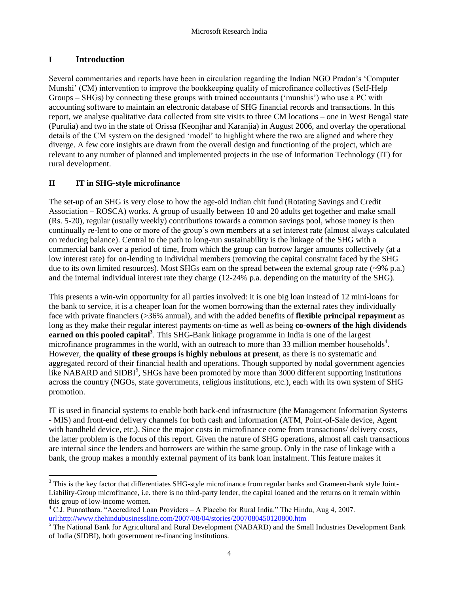# <span id="page-3-0"></span>**I Introduction**

Several commentaries and reports have been in circulation regarding the Indian NGO Pradan"s "Computer Munshi" (CM) intervention to improve the bookkeeping quality of microfinance collectives (Self-Help Groups – SHGs) by connecting these groups with trained accountants ("munshis") who use a PC with accounting software to maintain an electronic database of SHG financial records and transactions. In this report, we analyse qualitative data collected from site visits to three CM locations – one in West Bengal state (Purulia) and two in the state of Orissa (Keonjhar and Karanjia) in August 2006, and overlay the operational details of the CM system on the designed "model" to highlight where the two are aligned and where they diverge. A few core insights are drawn from the overall design and functioning of the project, which are relevant to any number of planned and implemented projects in the use of Information Technology (IT) for rural development.

### <span id="page-3-1"></span>**II IT in SHG-style microfinance**

The set-up of an SHG is very close to how the age-old Indian chit fund (Rotating Savings and Credit Association – ROSCA) works. A group of usually between 10 and 20 adults get together and make small (Rs. 5-20), regular (usually weekly) contributions towards a common savings pool, whose money is then continually re-lent to one or more of the group"s own members at a set interest rate (almost always calculated on reducing balance). Central to the path to long-run sustainability is the linkage of the SHG with a commercial bank over a period of time, from which the group can borrow larger amounts collectively (at a low interest rate) for on-lending to individual members (removing the capital constraint faced by the SHG due to its own limited resources). Most SHGs earn on the spread between the external group rate (~9% p.a.) and the internal individual interest rate they charge (12-24% p.a. depending on the maturity of the SHG).

This presents a win-win opportunity for all parties involved: it is one big loan instead of 12 mini-loans for the bank to service, it is a cheaper loan for the women borrowing than the external rates they individually face with private financiers (>36% annual), and with the added benefits of **flexible principal repayment** as long as they make their regular interest payments on-time as well as being **co-owners of the high dividends earned on this pooled capital<sup>3</sup>** . This SHG-Bank linkage programme in India is one of the largest microfinance programmes in the world, with an outreach to more than 33 million member households<sup>4</sup>. However, **the quality of these groups is highly nebulous at present**, as there is no systematic and aggregated record of their financial health and operations. Though supported by nodal government agencies like NABARD and SIDBI<sup>5</sup>, SHGs have been promoted by more than 3000 different supporting institutions across the country (NGOs, state governments, religious institutions, etc.), each with its own system of SHG promotion.

IT is used in financial systems to enable both back-end infrastructure (the Management Information Systems - MIS) and front-end delivery channels for both cash and information (ATM, Point-of-Sale device, Agent with handheld device, etc.). Since the major costs in microfinance come from transactions/ delivery costs, the latter problem is the focus of this report. Given the nature of SHG operations, almost all cash transactions are internal since the lenders and borrowers are within the same group. Only in the case of linkage with a bank, the group makes a monthly external payment of its bank loan instalment. This feature makes it

 $\overline{a}$ <sup>3</sup> This is the key factor that differentiates SHG-style microfinance from regular banks and Grameen-bank style Joint-Liability-Group microfinance, i.e. there is no third-party lender, the capital loaned and the returns on it remain within this group of low-income women.

<sup>4</sup> C.J. Punnathara. "Accredited Loan Providers – A Placebo for Rural India." The Hindu, Aug 4, 2007. [url:http://www.thehindubusinessline.com/2007/08/04/stories/2007080450120800.htm](http://www.thehindubusinessline.com/2007/08/04/stories/2007080450120800.htm)

<sup>&</sup>lt;sup>5</sup> The National Bank for Agricultural and Rural Development (NABARD) and the Small Industries Development Bank of India (SIDBI), both government re-financing institutions.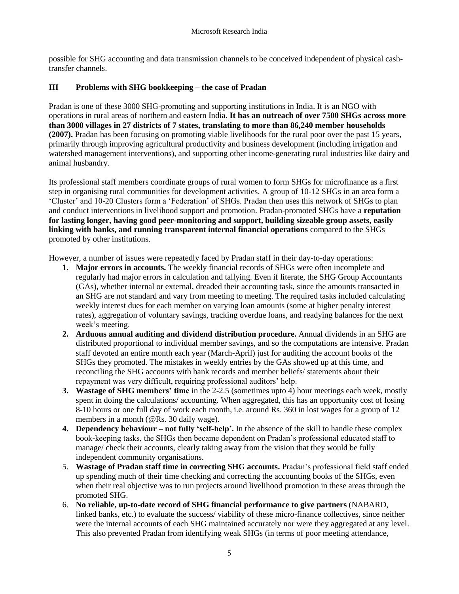possible for SHG accounting and data transmission channels to be conceived independent of physical cashtransfer channels.

# <span id="page-4-0"></span>**III Problems with SHG bookkeeping – the case of Pradan**

Pradan is one of these 3000 SHG-promoting and supporting institutions in India. It is an NGO with operations in rural areas of northern and eastern India. **It has an outreach of over 7500 SHGs across more than 3000 villages in 27 districts of 7 states, translating to more than 86,240 member households (2007).** Pradan has been focusing on promoting viable livelihoods for the rural poor over the past 15 years, primarily through improving agricultural productivity and business development (including irrigation and watershed management interventions), and supporting other income-generating rural industries like dairy and animal husbandry.

Its professional staff members coordinate groups of rural women to form SHGs for microfinance as a first step in organising rural communities for development activities. A group of 10-12 SHGs in an area form a "Cluster" and 10-20 Clusters form a "Federation" of SHGs. Pradan then uses this network of SHGs to plan and conduct interventions in livelihood support and promotion. Pradan-promoted SHGs have a **reputation for lasting longer, having good peer-monitoring and support, building sizeable group assets, easily linking with banks, and running transparent internal financial operations** compared to the SHGs promoted by other institutions.

However, a number of issues were repeatedly faced by Pradan staff in their day-to-day operations:

- **1. Major errors in accounts.** The weekly financial records of SHGs were often incomplete and regularly had major errors in calculation and tallying. Even if literate, the SHG Group Accountants (GAs), whether internal or external, dreaded their accounting task, since the amounts transacted in an SHG are not standard and vary from meeting to meeting. The required tasks included calculating weekly interest dues for each member on varying loan amounts (some at higher penalty interest rates), aggregation of voluntary savings, tracking overdue loans, and readying balances for the next week's meeting.
- **2. Arduous annual auditing and dividend distribution procedure.** Annual dividends in an SHG are distributed proportional to individual member savings, and so the computations are intensive. Pradan staff devoted an entire month each year (March-April) just for auditing the account books of the SHGs they promoted. The mistakes in weekly entries by the GAs showed up at this time, and reconciling the SHG accounts with bank records and member beliefs/ statements about their repayment was very difficult, requiring professional auditors" help.
- **3. Wastage of SHG members' time** in the 2-2.5 (sometimes upto 4) hour meetings each week, mostly spent in doing the calculations/ accounting. When aggregated, this has an opportunity cost of losing 8-10 hours or one full day of work each month, i.e. around Rs. 360 in lost wages for a group of 12 members in a month (@Rs. 30 daily wage).
- **4. Dependency behaviour – not fully 'self-help'.** In the absence of the skill to handle these complex book-keeping tasks, the SHGs then became dependent on Pradan"s professional educated staff to manage/ check their accounts, clearly taking away from the vision that they would be fully independent community organisations.
- 5. **Wastage of Pradan staff time in correcting SHG accounts.** Pradan"s professional field staff ended up spending much of their time checking and correcting the accounting books of the SHGs, even when their real objective was to run projects around livelihood promotion in these areas through the promoted SHG.
- 6. **No reliable, up-to-date record of SHG financial performance to give partners** (NABARD, linked banks, etc.) to evaluate the success/ viability of these micro-finance collectives, since neither were the internal accounts of each SHG maintained accurately nor were they aggregated at any level. This also prevented Pradan from identifying weak SHGs (in terms of poor meeting attendance,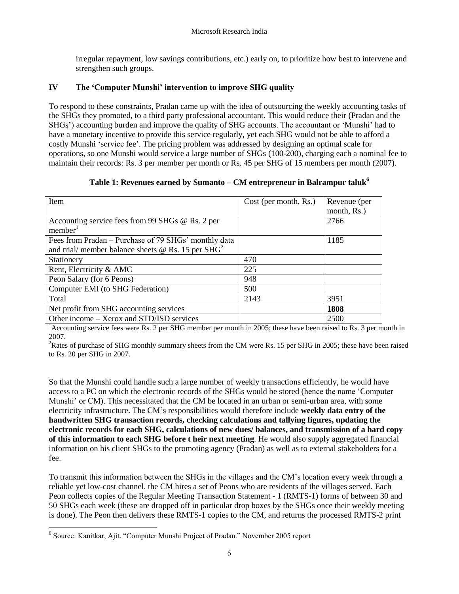irregular repayment, low savings contributions, etc.) early on, to prioritize how best to intervene and strengthen such groups.

# <span id="page-5-0"></span>**IV The 'Computer Munshi' intervention to improve SHG quality**

To respond to these constraints, Pradan came up with the idea of outsourcing the weekly accounting tasks of the SHGs they promoted, to a third party professional accountant. This would reduce their (Pradan and the SHGs") accounting burden and improve the quality of SHG accounts. The accountant or "Munshi" had to have a monetary incentive to provide this service regularly, yet each SHG would not be able to afford a costly Munshi "service fee". The pricing problem was addressed by designing an optimal scale for operations, so one Munshi would service a large number of SHGs (100-200), charging each a nominal fee to maintain their records: Rs. 3 per member per month or Rs. 45 per SHG of 15 members per month (2007).

| Table 1: Revenues earned by Sumanto – CM entrepreneur in Balrampur taluk <sup>6</sup> |  |
|---------------------------------------------------------------------------------------|--|
|                                                                                       |  |

| Item                                                                                                                          | Cost (per month, Rs.) | Revenue (per<br>month, Rs.) |
|-------------------------------------------------------------------------------------------------------------------------------|-----------------------|-----------------------------|
| Accounting service fees from 99 SHGs @ Rs. 2 per<br>member <sup>1</sup>                                                       |                       | 2766                        |
| Fees from Pradan – Purchase of 79 SHGs' monthly data<br>and trial/ member balance sheets $\omega$ Rs. 15 per SHG <sup>2</sup> |                       | 1185                        |
| Stationery                                                                                                                    | 470                   |                             |
| Rent, Electricity & AMC                                                                                                       | 225                   |                             |
| Peon Salary (for 6 Peons)                                                                                                     | 948                   |                             |
| Computer EMI (to SHG Federation)                                                                                              | 500                   |                             |
| Total                                                                                                                         | 2143                  | 3951                        |
| Net profit from SHG accounting services                                                                                       |                       | 1808                        |
| Other income – Xerox and STD/ISD services                                                                                     |                       | 2500                        |

<sup>1</sup>Accounting service fees were Rs. 2 per SHG member per month in 2005; these have been raised to Rs. 3 per month in 2007.

<sup>2</sup>Rates of purchase of SHG monthly summary sheets from the CM were Rs. 15 per SHG in 2005; these have been raised to Rs. 20 per SHG in 2007.

So that the Munshi could handle such a large number of weekly transactions efficiently, he would have access to a PC on which the electronic records of the SHGs would be stored (hence the name "Computer Munshi" or CM). This necessitated that the CM be located in an urban or semi-urban area, with some electricity infrastructure. The CM"s responsibilities would therefore include **weekly data entry of the handwritten SHG transaction records, checking calculations and tallying figures, updating the electronic records for each SHG, calculations of new dues/ balances, and transmission of a hard copy of this information to each SHG before t heir next meeting**. He would also supply aggregated financial information on his client SHGs to the promoting agency (Pradan) as well as to external stakeholders for a fee.

To transmit this information between the SHGs in the villages and the CM"s location every week through a reliable yet low-cost channel, the CM hires a set of Peons who are residents of the villages served. Each Peon collects copies of the Regular Meeting Transaction Statement - 1 (RMTS-1) forms of between 30 and 50 SHGs each week (these are dropped off in particular drop boxes by the SHGs once their weekly meeting is done). The Peon then delivers these RMTS-1 copies to the CM, and returns the processed RMTS-2 print

 $\overline{a}$ <sup>6</sup> Source: Kanitkar, Ajit. "Computer Munshi Project of Pradan." November 2005 report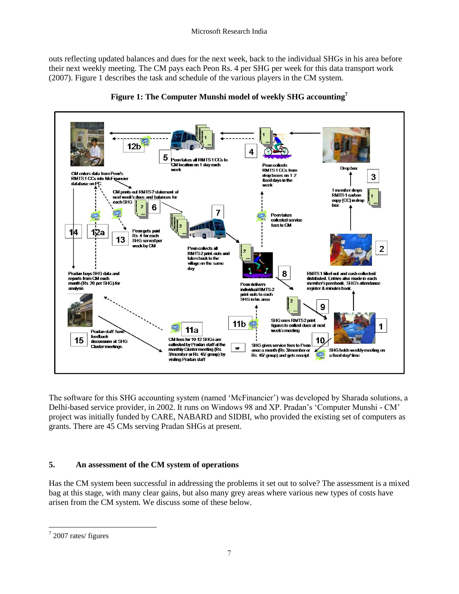outs reflecting updated balances and dues for the next week, back to the individual SHGs in his area before their next weekly meeting. The CM pays each Peon Rs. 4 per SHG per week for this data transport work (2007). Figure 1 describes the task and schedule of the various players in the CM system.





The software for this SHG accounting system (named "McFinancier") was developed by Sharada solutions, a Delhi-based service provider, in 2002. It runs on Windows 98 and XP. Pradan"s "Computer Munshi - CM" project was initially funded by CARE, NABARD and SIDBI, who provided the existing set of computers as grants. There are 45 CMs serving Pradan SHGs at present.

# <span id="page-6-0"></span>**5. An assessment of the CM system of operations**

Has the CM system been successful in addressing the problems it set out to solve? The assessment is a mixed bag at this stage, with many clear gains, but also many grey areas where various new types of costs have arisen from the CM system. We discuss some of these below.

 $\overline{a}$  $7$  2007 rates/ figures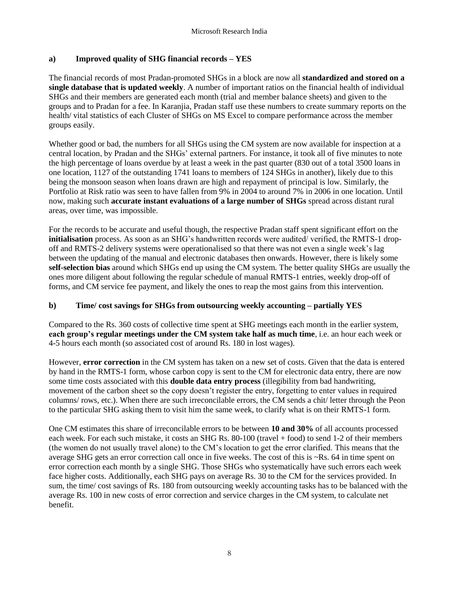#### **a) Improved quality of SHG financial records – YES**

The financial records of most Pradan-promoted SHGs in a block are now all **standardized and stored on a single database that is updated weekly**. A number of important ratios on the financial health of individual SHGs and their members are generated each month (trial and member balance sheets) and given to the groups and to Pradan for a fee. In Karanjia, Pradan staff use these numbers to create summary reports on the health/ vital statistics of each Cluster of SHGs on MS Excel to compare performance across the member groups easily.

Whether good or bad, the numbers for all SHGs using the CM system are now available for inspection at a central location, by Pradan and the SHGs" external partners. For instance, it took all of five minutes to note the high percentage of loans overdue by at least a week in the past quarter (830 out of a total 3500 loans in one location, 1127 of the outstanding 1741 loans to members of 124 SHGs in another), likely due to this being the monsoon season when loans drawn are high and repayment of principal is low. Similarly, the Portfolio at Risk ratio was seen to have fallen from 9% in 2004 to around 7% in 2006 in one location. Until now, making such **accurate instant evaluations of a large number of SHGs** spread across distant rural areas, over time, was impossible.

For the records to be accurate and useful though, the respective Pradan staff spent significant effort on the **initialisation** process. As soon as an SHG's handwritten records were audited/ verified, the RMTS-1 dropoff and RMTS-2 delivery systems were operationalised so that there was not even a single week"s lag between the updating of the manual and electronic databases then onwards. However, there is likely some **self-selection bias** around which SHGs end up using the CM system. The better quality SHGs are usually the ones more diligent about following the regular schedule of manual RMTS-1 entries, weekly drop-off of forms, and CM service fee payment, and likely the ones to reap the most gains from this intervention.

# **b) Time/ cost savings for SHGs from outsourcing weekly accounting – partially YES**

Compared to the Rs. 360 costs of collective time spent at SHG meetings each month in the earlier system, **each group's regular meetings under the CM system take half as much time**, i.e. an hour each week or 4-5 hours each month (so associated cost of around Rs. 180 in lost wages).

However, **error correction** in the CM system has taken on a new set of costs. Given that the data is entered by hand in the RMTS-1 form, whose carbon copy is sent to the CM for electronic data entry, there are now some time costs associated with this **double data entry process** (illegibility from bad handwriting, movement of the carbon sheet so the copy doesn"t register the entry, forgetting to enter values in required columns/ rows, etc.). When there are such irreconcilable errors, the CM sends a chit/ letter through the Peon to the particular SHG asking them to visit him the same week, to clarify what is on their RMTS-1 form.

One CM estimates this share of irreconcilable errors to be between **10 and 30%** of all accounts processed each week. For each such mistake, it costs an SHG Rs. 80-100 (travel + food) to send 1-2 of their members (the women do not usually travel alone) to the CM"s location to get the error clarified. This means that the average SHG gets an error correction call once in five weeks. The cost of this is ~Rs. 64 in time spent on error correction each month by a single SHG. Those SHGs who systematically have such errors each week face higher costs. Additionally, each SHG pays on average Rs. 30 to the CM for the services provided. In sum, the time/ cost savings of Rs. 180 from outsourcing weekly accounting tasks has to be balanced with the average Rs. 100 in new costs of error correction and service charges in the CM system, to calculate net benefit.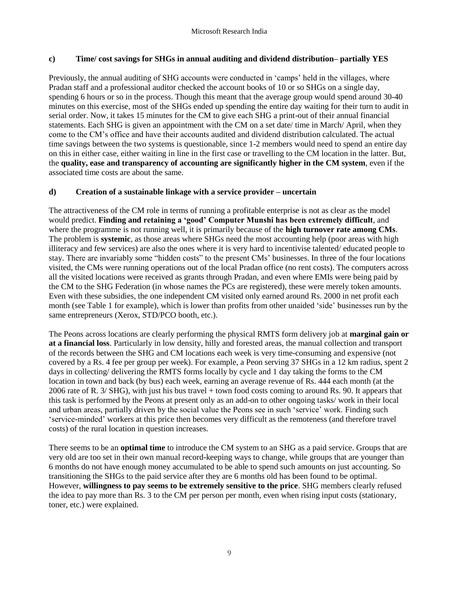#### **c) Time/ cost savings for SHGs in annual auditing and dividend distribution– partially YES**

Previously, the annual auditing of SHG accounts were conducted in "camps" held in the villages, where Pradan staff and a professional auditor checked the account books of 10 or so SHGs on a single day, spending 6 hours or so in the process. Though this meant that the average group would spend around 30-40 minutes on this exercise, most of the SHGs ended up spending the entire day waiting for their turn to audit in serial order. Now, it takes 15 minutes for the CM to give each SHG a print-out of their annual financial statements. Each SHG is given an appointment with the CM on a set date/ time in March/ April, when they come to the CM"s office and have their accounts audited and dividend distribution calculated. The actual time savings between the two systems is questionable, since 1-2 members would need to spend an entire day on this in either case, either waiting in line in the first case or travelling to the CM location in the latter. But, the **quality, ease and transparency of accounting are significantly higher in the CM system**, even if the associated time costs are about the same.

#### **d) Creation of a sustainable linkage with a service provider – uncertain**

The attractiveness of the CM role in terms of running a profitable enterprise is not as clear as the model would predict. **Finding and retaining a 'good' Computer Munshi has been extremely difficult**, and where the programme is not running well, it is primarily because of the **high turnover rate among CMs**. The problem is **systemic**, as those areas where SHGs need the most accounting help (poor areas with high illiteracy and few services) are also the ones where it is very hard to incentivise talented/ educated people to stay. There are invariably some "hidden costs" to the present CMs" businesses. In three of the four locations visited, the CMs were running operations out of the local Pradan office (no rent costs). The computers across all the visited locations were received as grants through Pradan, and even where EMIs were being paid by the CM to the SHG Federation (in whose names the PCs are registered), these were merely token amounts. Even with these subsidies, the one independent CM visited only earned around Rs. 2000 in net profit each month (see Table 1 for example), which is lower than profits from other unaided "side" businesses run by the same entrepreneurs (Xerox, STD/PCO booth, etc.).

The Peons across locations are clearly performing the physical RMTS form delivery job at **marginal gain or at a financial loss**. Particularly in low density, hilly and forested areas, the manual collection and transport of the records between the SHG and CM locations each week is very time-consuming and expensive (not covered by a Rs. 4 fee per group per week). For example, a Peon serving 37 SHGs in a 12 km radius, spent 2 days in collecting/ delivering the RMTS forms locally by cycle and 1 day taking the forms to the CM location in town and back (by bus) each week, earning an average revenue of Rs. 444 each month (at the 2006 rate of R. 3/ SHG), with just his bus travel + town food costs coming to around Rs. 90. It appears that this task is performed by the Peons at present only as an add-on to other ongoing tasks/ work in their local and urban areas, partially driven by the social value the Peons see in such "service" work. Finding such "service-minded" workers at this price then becomes very difficult as the remoteness (and therefore travel costs) of the rural location in question increases.

There seems to be an **optimal time** to introduce the CM system to an SHG as a paid service. Groups that are very old are too set in their own manual record-keeping ways to change, while groups that are younger than 6 months do not have enough money accumulated to be able to spend such amounts on just accounting. So transitioning the SHGs to the paid service after they are 6 months old has been found to be optimal. However, **willingness to pay seems to be extremely sensitive to the price**. SHG members clearly refused the idea to pay more than Rs. 3 to the CM per person per month, even when rising input costs (stationary, toner, etc.) were explained.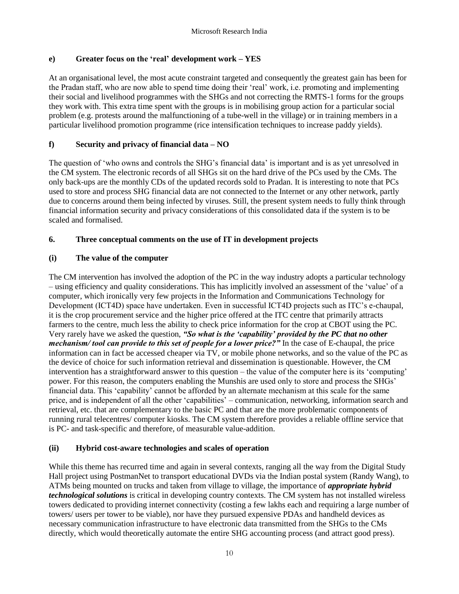#### **e) Greater focus on the 'real' development work – YES**

At an organisational level, the most acute constraint targeted and consequently the greatest gain has been for the Pradan staff, who are now able to spend time doing their "real" work, i.e. promoting and implementing their social and livelihood programmes with the SHGs and not correcting the RMTS-1 forms for the groups they work with. This extra time spent with the groups is in mobilising group action for a particular social problem (e.g. protests around the malfunctioning of a tube-well in the village) or in training members in a particular livelihood promotion programme (rice intensification techniques to increase paddy yields).

# **f) Security and privacy of financial data – NO**

The question of "who owns and controls the SHG"s financial data" is important and is as yet unresolved in the CM system. The electronic records of all SHGs sit on the hard drive of the PCs used by the CMs. The only back-ups are the monthly CDs of the updated records sold to Pradan. It is interesting to note that PCs used to store and process SHG financial data are not connected to the Internet or any other network, partly due to concerns around them being infected by viruses. Still, the present system needs to fully think through financial information security and privacy considerations of this consolidated data if the system is to be scaled and formalised.

### <span id="page-9-0"></span>**6. Three conceptual comments on the use of IT in development projects**

### **(i) The value of the computer**

The CM intervention has involved the adoption of the PC in the way industry adopts a particular technology – using efficiency and quality considerations. This has implicitly involved an assessment of the "value" of a computer, which ironically very few projects in the Information and Communications Technology for Development (ICT4D) space have undertaken. Even in successful ICT4D projects such as ITC"s e-chaupal, it is the crop procurement service and the higher price offered at the ITC centre that primarily attracts farmers to the centre, much less the ability to check price information for the crop at CBOT using the PC. Very rarely have we asked the question, *"So what is the "capability" provided by the PC that no other mechanism/ tool can provide to this set of people for a lower price?"* In the case of E-chaupal, the price information can in fact be accessed cheaper via TV, or mobile phone networks, and so the value of the PC as the device of choice for such information retrieval and dissemination is questionable. However, the CM intervention has a straightforward answer to this question – the value of the computer here is its "computing" power. For this reason, the computers enabling the Munshis are used only to store and process the SHGs' financial data. This "capability" cannot be afforded by an alternate mechanism at this scale for the same price, and is independent of all the other "capabilities" – communication, networking, information search and retrieval, etc. that are complementary to the basic PC and that are the more problematic components of running rural telecentres/ computer kiosks. The CM system therefore provides a reliable offline service that is PC- and task-specific and therefore, of measurable value-addition.

#### **(ii) Hybrid cost-aware technologies and scales of operation**

While this theme has recurred time and again in several contexts, ranging all the way from the Digital Study Hall project using PostmanNet to transport educational DVDs via the Indian postal system (Randy Wang), to ATMs being mounted on trucks and taken from village to village, the importance of *appropriate hybrid technological solutions* is critical in developing country contexts. The CM system has not installed wireless towers dedicated to providing internet connectivity (costing a few lakhs each and requiring a large number of towers/ users per tower to be viable), nor have they pursued expensive PDAs and handheld devices as necessary communication infrastructure to have electronic data transmitted from the SHGs to the CMs directly, which would theoretically automate the entire SHG accounting process (and attract good press).